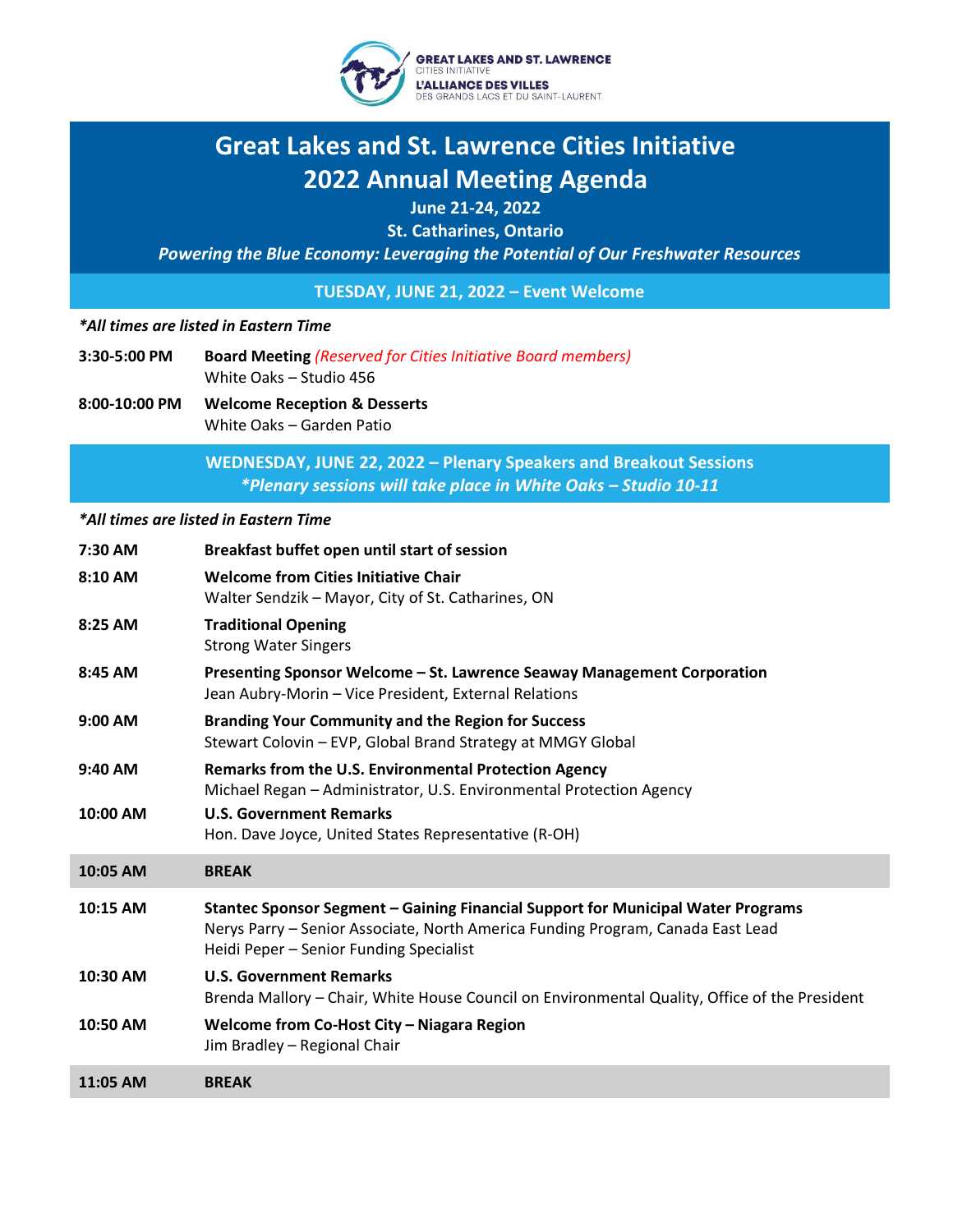

# **Great Lakes and St. Lawrence Cities Initiative 2022 Annual Meeting Agenda**

**June 21-24, 2022**

**St. Catharines, Ontario**

*Powering the Blue Economy: Leveraging the Potential of Our Freshwater Resources*

**TUESDAY, JUNE 21, 2022 – Event Welcome**

### *\*All times are listed in Eastern Time*

- **3:30-5:00 PM Board Meeting** *(Reserved for Cities Initiative Board members)* White Oaks – Studio 456
- **8:00-10:00 PM Welcome Reception & Desserts** White Oaks – Garden Patio

**WEDNESDAY, JUNE 22, 2022 – Plenary Speakers and Breakout Sessions** *\*Plenary sessions will take place in White Oaks – Studio 10-11*

#### *\*All times are listed in Eastern Time*

| 7:30 AM  | Breakfast buffet open until start of session                                                                                                                                                                   |
|----------|----------------------------------------------------------------------------------------------------------------------------------------------------------------------------------------------------------------|
| 8:10 AM  | <b>Welcome from Cities Initiative Chair</b><br>Walter Sendzik - Mayor, City of St. Catharines, ON                                                                                                              |
| 8:25 AM  | <b>Traditional Opening</b><br><b>Strong Water Singers</b>                                                                                                                                                      |
| 8:45 AM  | Presenting Sponsor Welcome - St. Lawrence Seaway Management Corporation<br>Jean Aubry-Morin - Vice President, External Relations                                                                               |
| 9:00 AM  | <b>Branding Your Community and the Region for Success</b><br>Stewart Colovin - EVP, Global Brand Strategy at MMGY Global                                                                                       |
| 9:40 AM  | <b>Remarks from the U.S. Environmental Protection Agency</b><br>Michael Regan - Administrator, U.S. Environmental Protection Agency                                                                            |
| 10:00 AM | <b>U.S. Government Remarks</b><br>Hon. Dave Joyce, United States Representative (R-OH)                                                                                                                         |
| 10:05 AM | <b>BREAK</b>                                                                                                                                                                                                   |
| 10:15 AM | Stantec Sponsor Segment - Gaining Financial Support for Municipal Water Programs<br>Nerys Parry - Senior Associate, North America Funding Program, Canada East Lead<br>Heidi Peper - Senior Funding Specialist |
| 10:30 AM | <b>U.S. Government Remarks</b><br>Brenda Mallory - Chair, White House Council on Environmental Quality, Office of the President                                                                                |
| 10:50 AM | Welcome from Co-Host City - Niagara Region<br>Jim Bradley - Regional Chair                                                                                                                                     |
| 11:05 AM | <b>BREAK</b>                                                                                                                                                                                                   |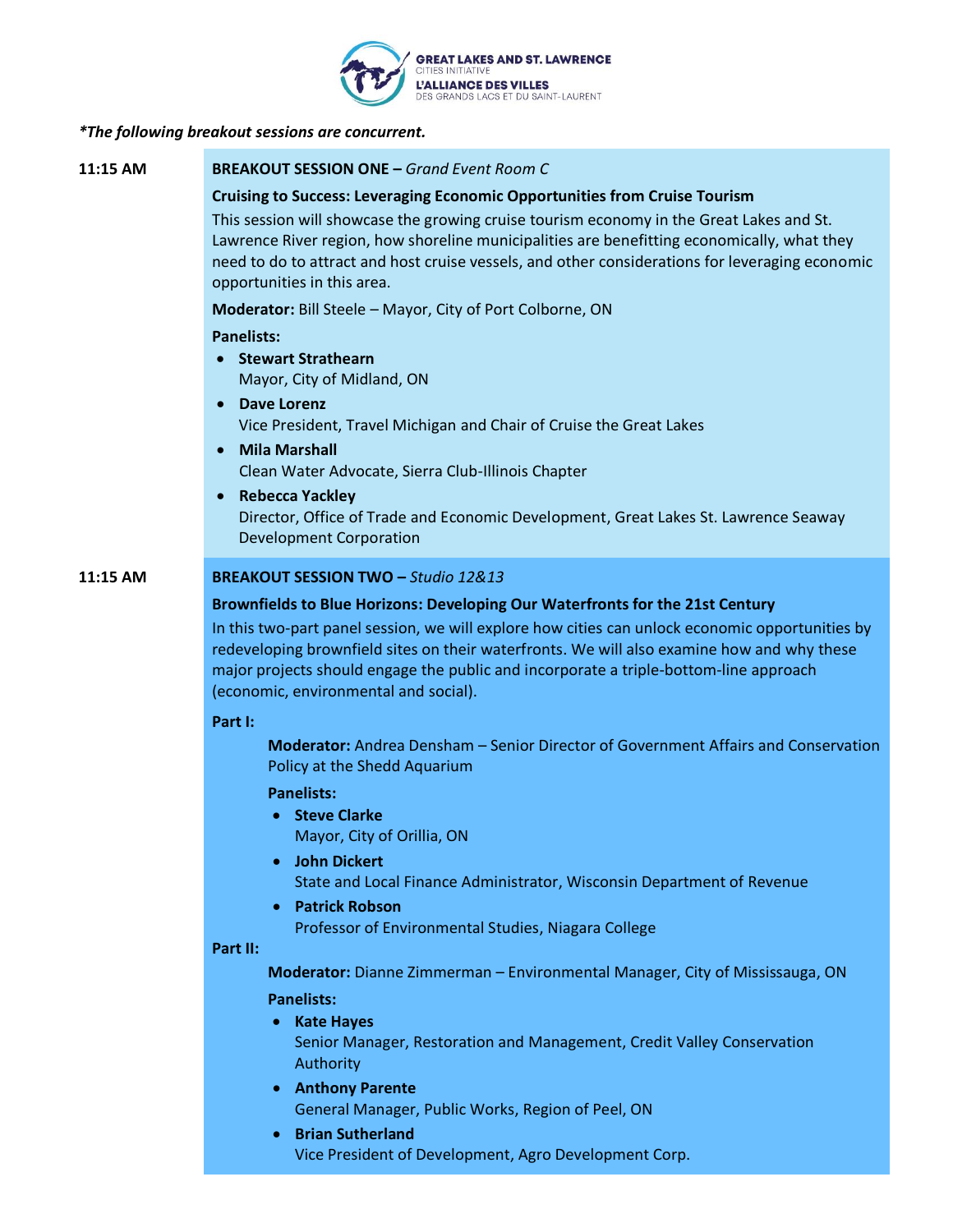

### *\*The following breakout sessions are concurrent.*

**11:15 AM BREAKOUT SESSION ONE –** *Grand Event Room C*

### **Cruising to Success: Leveraging Economic Opportunities from Cruise Tourism**

This session will showcase the growing cruise tourism economy in the Great Lakes and St. Lawrence River region, how shoreline municipalities are benefitting economically, what they need to do to attract and host cruise vessels, and other considerations for leveraging economic opportunities in this area.

**Moderator:** Bill Steele – Mayor, City of Port Colborne, ON

### **Panelists:**

- **Stewart Strathearn**  Mayor, City of Midland, ON
- **Dave Lorenz** Vice President, Travel Michigan and Chair of Cruise the Great Lakes
- **Mila Marshall** Clean Water Advocate, Sierra Club-Illinois Chapter
- **Rebecca Yackley**

Director, Office of Trade and Economic Development, Great Lakes St. Lawrence Seaway Development Corporation

### **11:15 AM BREAKOUT SESSION TWO –** *Studio 12&13*

### **Brownfields to Blue Horizons: Developing Our Waterfronts for the 21st Century**

In this two-part panel session, we will explore how cities can unlock economic opportunities by redeveloping brownfield sites on their waterfronts. We will also examine how and why these major projects should engage the public and incorporate a triple-bottom-line approach (economic, environmental and social).

### **Part I:**

**Moderator:** Andrea Densham – Senior Director of Government Affairs and Conservation Policy at the Shedd Aquarium

### **Panelists:**

• **Steve Clarke** 

Mayor, City of Orillia, ON

- **John Dickert** State and Local Finance Administrator, Wisconsin Department of Revenue
- **Patrick Robson**

Professor of Environmental Studies, Niagara College

## **Part II:**

**Moderator:** Dianne Zimmerman – Environmental Manager, City of Mississauga, ON

### **Panelists:**

- **Kate Hayes** Senior Manager, Restoration and Management, Credit Valley Conservation Authority
- **Anthony Parente** General Manager, Public Works, Region of Peel, ON
- **Brian Sutherland** Vice President of Development, Agro Development Corp.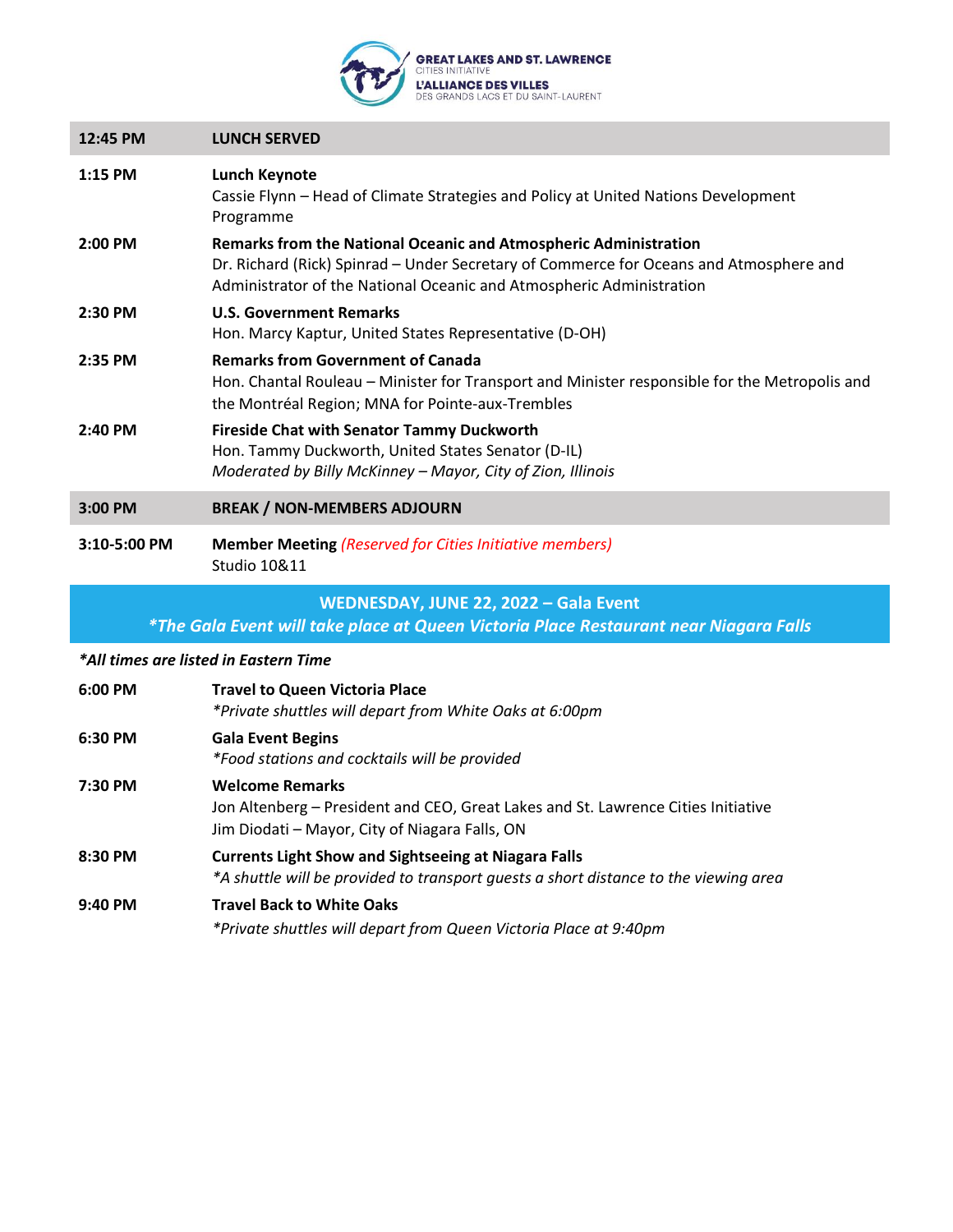

| 12:45 PM     | <b>LUNCH SERVED</b>                                                                                                                                                                                                                |
|--------------|------------------------------------------------------------------------------------------------------------------------------------------------------------------------------------------------------------------------------------|
| $1:15$ PM    | Lunch Keynote<br>Cassie Flynn - Head of Climate Strategies and Policy at United Nations Development<br>Programme                                                                                                                   |
| 2:00 PM      | Remarks from the National Oceanic and Atmospheric Administration<br>Dr. Richard (Rick) Spinrad – Under Secretary of Commerce for Oceans and Atmosphere and<br>Administrator of the National Oceanic and Atmospheric Administration |
| $2:30$ PM    | <b>U.S. Government Remarks</b><br>Hon. Marcy Kaptur, United States Representative (D-OH)                                                                                                                                           |
| $2:35$ PM    | <b>Remarks from Government of Canada</b><br>Hon. Chantal Rouleau – Minister for Transport and Minister responsible for the Metropolis and<br>the Montréal Region; MNA for Pointe-aux-Trembles                                      |
| $2:40$ PM    | <b>Fireside Chat with Senator Tammy Duckworth</b><br>Hon. Tammy Duckworth, United States Senator (D-IL)<br>Moderated by Billy McKinney - Mayor, City of Zion, Illinois                                                             |
| 3:00 PM      | <b>BREAK / NON-MEMBERS ADJOURN</b>                                                                                                                                                                                                 |
| 3:10-5:00 PM | <b>Member Meeting (Reserved for Cities Initiative members)</b><br><b>Studio 10&amp;11</b>                                                                                                                                          |

# **WEDNESDAY, JUNE 22, 2022 – Gala Event**

*\*The Gala Event will take place at Queen Victoria Place Restaurant near Niagara Falls*

*\*All times are listed in Eastern Time*

| 6:00 PM   | <b>Travel to Queen Victoria Place</b><br>*Private shuttles will depart from White Oaks at 6:00pm                                                              |
|-----------|---------------------------------------------------------------------------------------------------------------------------------------------------------------|
| 6:30 PM   | <b>Gala Event Begins</b><br>*Food stations and cocktails will be provided                                                                                     |
| 7:30 PM   | <b>Welcome Remarks</b><br>Jon Altenberg - President and CEO, Great Lakes and St. Lawrence Cities Initiative<br>Jim Diodati – Mayor, City of Niagara Falls, ON |
| 8:30 PM   | <b>Currents Light Show and Sightseeing at Niagara Falls</b><br>*A shuttle will be provided to transport quests a short distance to the viewing area           |
| $9:40$ PM | <b>Travel Back to White Oaks</b><br>*Private shuttles will depart from Queen Victoria Place at 9:40pm                                                         |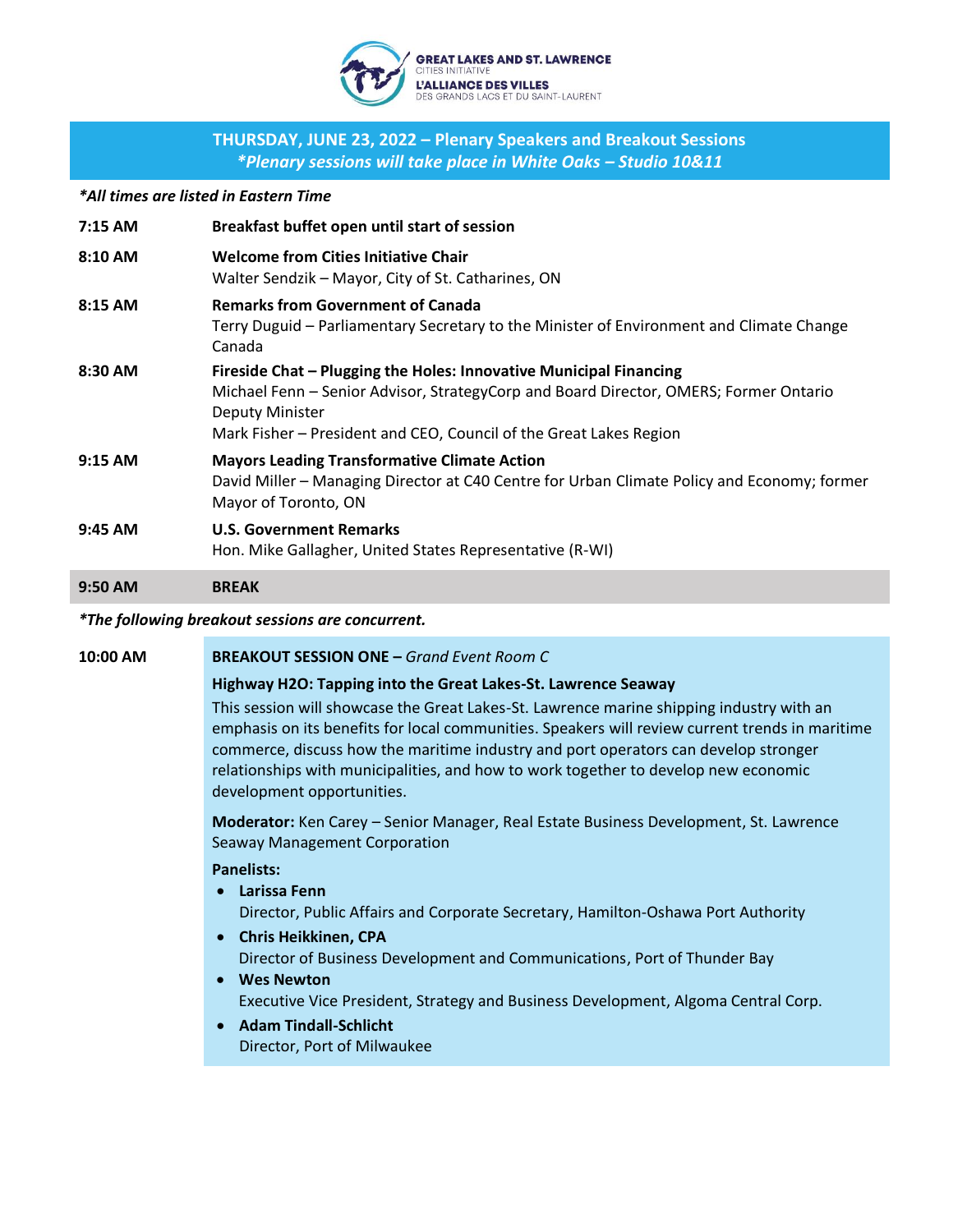

# **THURSDAY, JUNE 23, 2022 – Plenary Speakers and Breakout Sessions** *\*Plenary sessions will take place in White Oaks – Studio 10&11*

*\*All times are listed in Eastern Time*

| $7:15$ AM | Breakfast buffet open until start of session                                                                                                                                                                                                                |
|-----------|-------------------------------------------------------------------------------------------------------------------------------------------------------------------------------------------------------------------------------------------------------------|
| 8:10 AM   | <b>Welcome from Cities Initiative Chair</b><br>Walter Sendzik – Mayor, City of St. Catharines, ON                                                                                                                                                           |
| 8:15 AM   | <b>Remarks from Government of Canada</b><br>Terry Duguid – Parliamentary Secretary to the Minister of Environment and Climate Change<br>Canada                                                                                                              |
| 8:30 AM   | Fireside Chat – Plugging the Holes: Innovative Municipal Financing<br>Michael Fenn – Senior Advisor, StrategyCorp and Board Director, OMERS; Former Ontario<br><b>Deputy Minister</b><br>Mark Fisher - President and CEO, Council of the Great Lakes Region |
| $9:15$ AM | <b>Mayors Leading Transformative Climate Action</b><br>David Miller - Managing Director at C40 Centre for Urban Climate Policy and Economy; former<br>Mayor of Toronto, ON                                                                                  |
| $9:45$ AM | <b>U.S. Government Remarks</b><br>Hon. Mike Gallagher, United States Representative (R-WI)                                                                                                                                                                  |

**9:50 AM BREAK**

### *\*The following breakout sessions are concurrent.*

### **10:00 AM BREAKOUT SESSION ONE –** *Grand Event Room C*

### **Highway H2O: Tapping into the Great Lakes-St. Lawrence Seaway**

This session will showcase the Great Lakes-St. Lawrence marine shipping industry with an emphasis on its benefits for local communities. Speakers will review current trends in maritime commerce, discuss how the maritime industry and port operators can develop stronger relationships with municipalities, and how to work together to develop new economic development opportunities.

**Moderator:** Ken Carey – Senior Manager, Real Estate Business Development, St. Lawrence Seaway Management Corporation

### **Panelists:**

• **Larissa Fenn**

Director, Public Affairs and Corporate Secretary, Hamilton-Oshawa Port Authority

- **Chris Heikkinen, CPA** Director of Business Development and Communications, Port of Thunder Bay
- **Wes Newton** Executive Vice President, Strategy and Business Development, Algoma Central Corp.
- **Adam Tindall-Schlicht** Director, Port of Milwaukee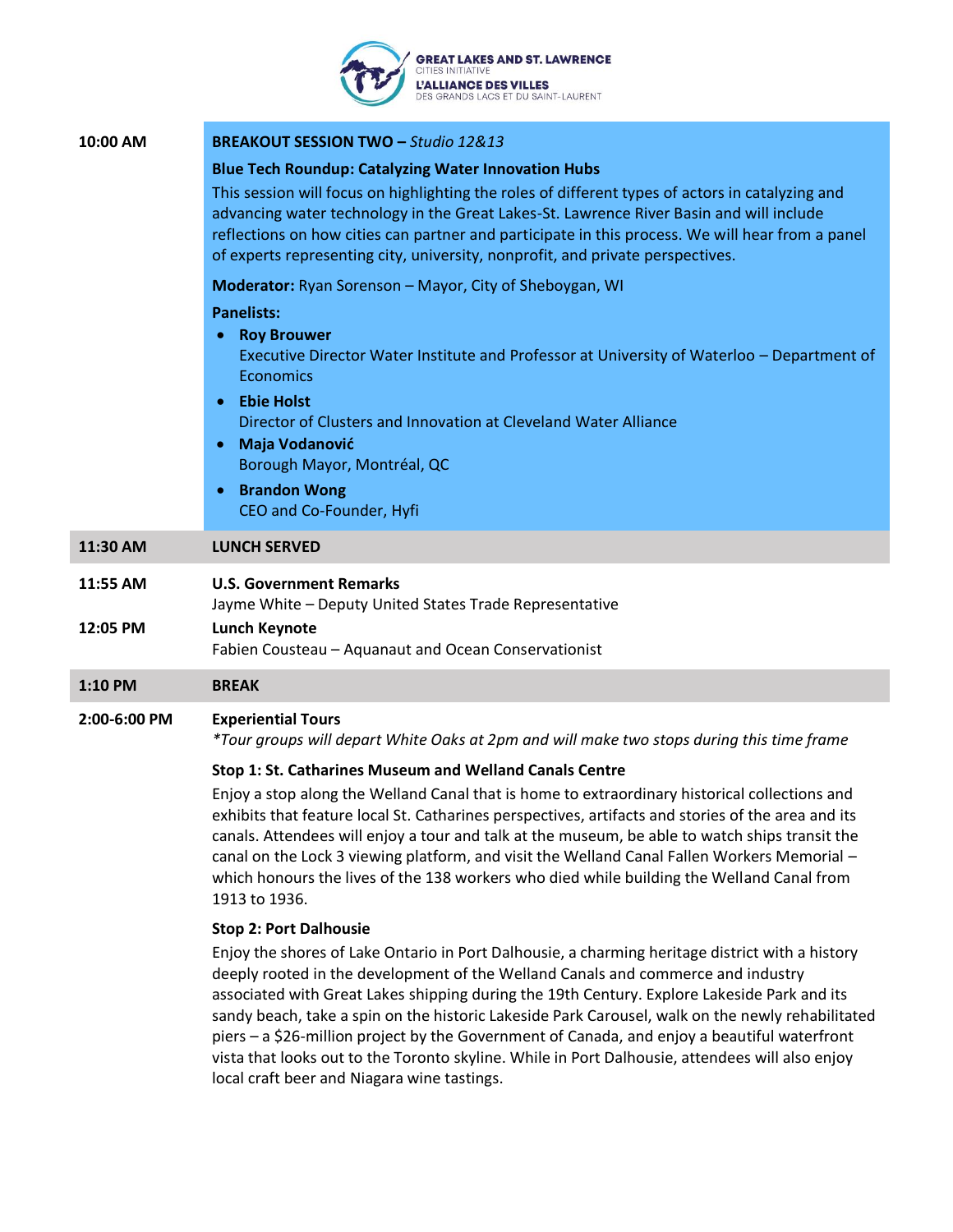#### **GREAT LAKES AND ST. LAWRENCE IES INITIATIVI L'ALLIANCE DES VILLES** DES GRANDS LACS ET DU SAINT-LAURENT

| 10:00 AM             | <b>BREAKOUT SESSION TWO - Studio 12&amp;13</b>                                                                                                                                                                                                                                                                                                                                                                                                  |
|----------------------|-------------------------------------------------------------------------------------------------------------------------------------------------------------------------------------------------------------------------------------------------------------------------------------------------------------------------------------------------------------------------------------------------------------------------------------------------|
|                      | <b>Blue Tech Roundup: Catalyzing Water Innovation Hubs</b><br>This session will focus on highlighting the roles of different types of actors in catalyzing and<br>advancing water technology in the Great Lakes-St. Lawrence River Basin and will include<br>reflections on how cities can partner and participate in this process. We will hear from a panel<br>of experts representing city, university, nonprofit, and private perspectives. |
|                      | Moderator: Ryan Sorenson - Mayor, City of Sheboygan, WI                                                                                                                                                                                                                                                                                                                                                                                         |
|                      | <b>Panelists:</b><br><b>Roy Brouwer</b><br>Executive Director Water Institute and Professor at University of Waterloo - Department of<br><b>Economics</b><br><b>Ebie Holst</b><br>$\bullet$<br>Director of Clusters and Innovation at Cleveland Water Alliance<br><b>Maja Vodanović</b><br>Borough Mayor, Montréal, QC<br><b>Brandon Wong</b><br>CEO and Co-Founder, Hyfi                                                                       |
| 11:30 AM             | <b>LUNCH SERVED</b>                                                                                                                                                                                                                                                                                                                                                                                                                             |
| 11:55 AM<br>12:05 PM | <b>U.S. Government Remarks</b><br>Jayme White - Deputy United States Trade Representative<br><b>Lunch Keynote</b><br>Fabien Cousteau - Aquanaut and Ocean Conservationist                                                                                                                                                                                                                                                                       |
| 1:10 PM              | <b>BREAK</b>                                                                                                                                                                                                                                                                                                                                                                                                                                    |
| 2:00-6:00 PM         | <b>Experiential Tours</b>                                                                                                                                                                                                                                                                                                                                                                                                                       |

*\*Tour groups will depart White Oaks at 2pm and will make two stops during this time frame*

### **Stop 1: St. Catharines Museum and Welland Canals Centre**

Enjoy a stop along the Welland Canal that is home to extraordinary historical collections and exhibits that feature local St. Catharines perspectives, artifacts and stories of the area and its canals. Attendees will enjoy a tour and talk at the museum, be able to watch ships transit the canal on the Lock 3 viewing platform, and visit the Welland Canal Fallen Workers Memorial – which honours the lives of the 138 workers who died while building the Welland Canal from 1913 to 1936.

### **Stop 2: Port Dalhousie**

Enjoy the shores of Lake Ontario in Port Dalhousie, a charming heritage district with a history deeply rooted in the development of the Welland Canals and commerce and industry associated with Great Lakes shipping during the 19th Century. Explore Lakeside Park and its sandy beach, take a spin on the historic Lakeside Park Carousel, walk on the newly rehabilitated piers – a \$26-million project by the Government of Canada, and enjoy a beautiful waterfront vista that looks out to the Toronto skyline. While in Port Dalhousie, attendees will also enjoy local craft beer and Niagara wine tastings.